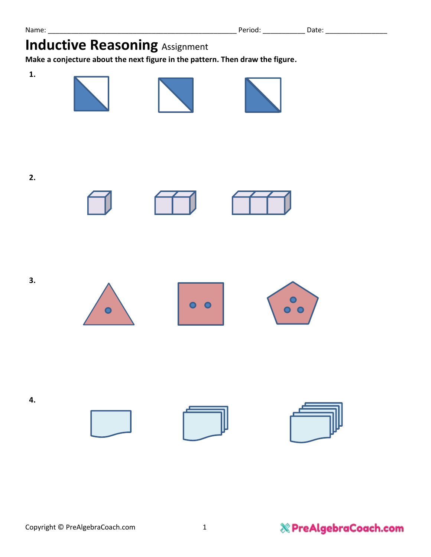**Make a conjecture about the next figure in the pattern. Then draw the figure.**

**1.**











 $0<sub>o</sub>$ 











**4.**

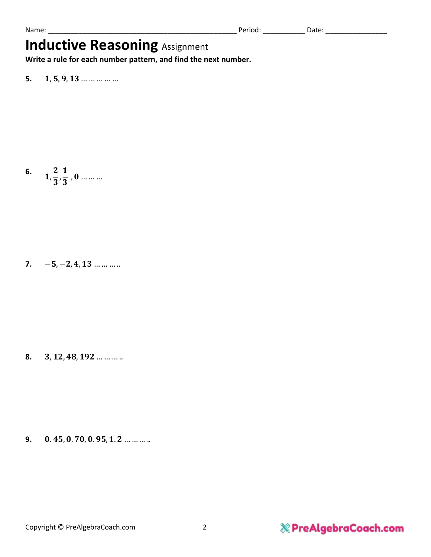**Write a rule for each number pattern, and find the next number.**

**5. 1**, **5**, **9**, **13** … … … … …

**6.** ,  $\mathbf{z}$ 3 ,  $\mathbf{1}$ 3 , … … …

**7.**  $-5, -2, 4, 13...$  … … …

8. **3, 12, 48, 192** ... ... ... ..

**9.** 0.45, 0.70, 0.95, 1.2 ... ... ... ..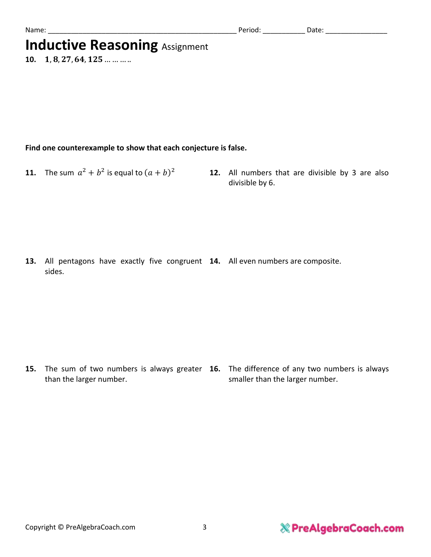| υм.<br>__ |  |  |
|-----------|--|--|
|           |  |  |

10.  $1, 8, 27, 64, 125 \dots$  ... ... ...

### **Find one counterexample to show that each conjecture is false.**

- **11.** The sum  $a^2 + b^2$  is equal to  $(a + b)$
- 12. All numbers that are divisible by 3 are also divisible by 6.

**13.** All pentagons have exactly five congruent **14.** All even numbers are composite. sides.

**15.** The sum of two numbers is always greater **16.** The difference of any two numbers is always than the larger number. smaller than the larger number.

### & PreAlgebraCoach.com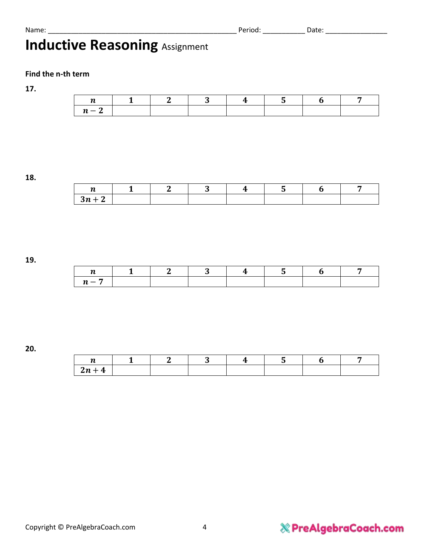Name: \_\_\_\_\_\_\_\_\_\_\_\_\_\_\_\_\_\_\_\_\_\_\_\_\_\_\_\_\_\_\_\_\_\_\_\_\_\_\_\_\_\_\_\_\_\_\_\_\_ Period: \_\_\_\_\_\_\_\_\_\_\_ Date: \_\_\_\_\_\_\_\_\_\_\_\_\_\_\_\_

# **Inductive Reasoning Assignment**

### **Find the n-th term**

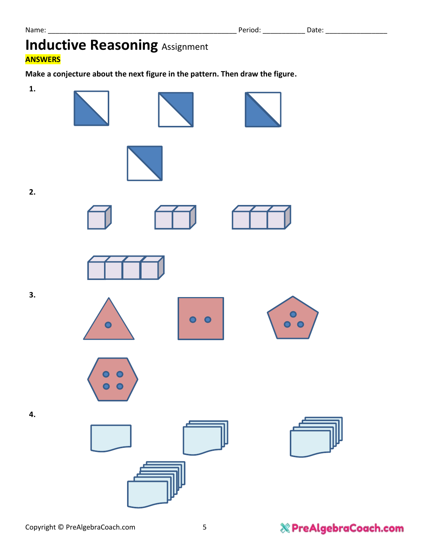### **Inductive Reasoning Assignment ANSWERS**

**Make a conjecture about the next figure in the pattern. Then draw the figure.**

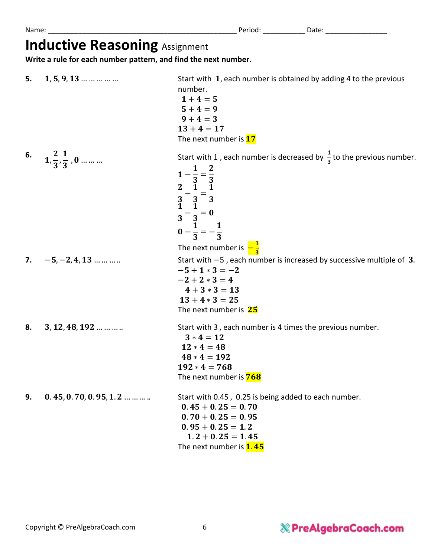**Write a rule for each number pattern, and find the next number.**

| 5. | $1, 5, 9, 13$                         | Start with 1, each number is obtained by adding 4 to the previous<br>number.<br>$1+4=5$<br>$5 + 4 = 9$<br>$9 + 4 = 3$<br>$13 + 4 = 17$<br>The next number is 17                                                                                             |
|----|---------------------------------------|-------------------------------------------------------------------------------------------------------------------------------------------------------------------------------------------------------------------------------------------------------------|
| 6. | $1,\frac{2}{3},\frac{1}{3}$ , 0       | Start with 1, each number is decreased by $\frac{1}{3}$ to the previous number.<br>$1-\frac{1}{3}=\frac{2}{3}$<br>$\frac{2}{3}-\frac{1}{3}=\frac{1}{3}$<br>$\frac{1}{3}-\frac{1}{3}=0$<br>$0-\frac{1}{3}=-\frac{1}{3}$<br>The next number is $-\frac{1}{3}$ |
| 7. | $-5, -2, 4, 13$                       | Start with $-5$ , each number is increased by successive multiple of 3.<br>$-5 + 1 * 3 = -2$<br>$-2 + 2 * 3 = 4$<br>$4 + 3 * 3 = 13$<br>$13 + 4 * 3 = 25$<br>The next number is 25                                                                          |
| 8. | $3, 12, 48, 192$                      | Start with 3, each number is 4 times the previous number.<br>$3 * 4 = 12$<br>$12 * 4 = 48$<br>$48 * 4 = 192$<br>$192 * 4 = 768$<br>The next number is <b>768</b>                                                                                            |
| 9. | $0.45, 0.70, 0.95, 1.2 \ldots \ldots$ | Start with 0.45, 0.25 is being added to each number.<br>$0.45 + 0.25 = 0.70$<br>$0.70 + 0.25 = 0.95$<br>$0.95 + 0.25 = 1.2$<br>$1.2 + 0.25 = 1.45$<br>The next number is <b>1.45</b>                                                                        |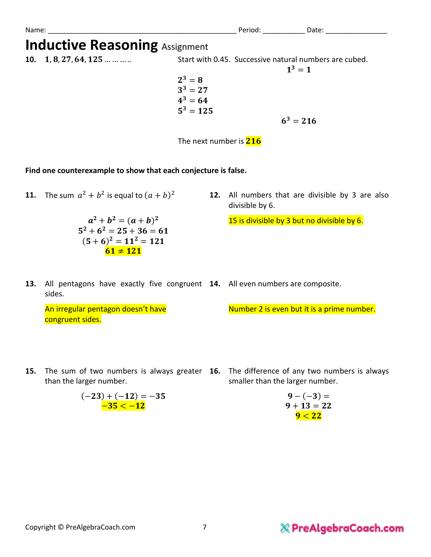| Name:                                 | Period: | Date: |  |
|---------------------------------------|---------|-------|--|
| <b>Inductive Reasoning Assignment</b> |         |       |  |

**10. 1**, **8**, **27**, **64**, **125** ... ... ... Start with 0.45. Successive natural numbers are cubed.

 $2^3=8$  $3^3 = 27$  $4^3 = 64$  $5^3 = 125$ 

 $6^3 = 216$ 

 $1^3 = 1$ 

The next number is  $216$ 

**Find one counterexample to show that each conjecture is false.**

**11.** The sum  $a^2 + b^2$  is equal to  $(a + b)$ 

 $a^2 + b^2 = (a + b)^2$  $5^2 + 6^2 = 25 + 36 = 61$  $(5+6)^2 = 11^2 = 121$  $61 \ne 121$ 

12. All numbers that are divisible by 3 are also divisible by 6.

15 is divisible by 3 but no divisible by 6.

**13.** All pentagons have exactly five congruent **14.** All even numbers are composite. sides.

An irregular pentagon doesn't have congruent sides.

Number 2 is even but it is a prime number.

- **15.** The sum of two numbers is always greater **16.** The difference of any two numbers is always than the larger number.
	- smaller than the larger number.

$$
9 - (-3) =
$$
  
 
$$
9 + 13 = 22
$$
  
 
$$
9 < 22
$$